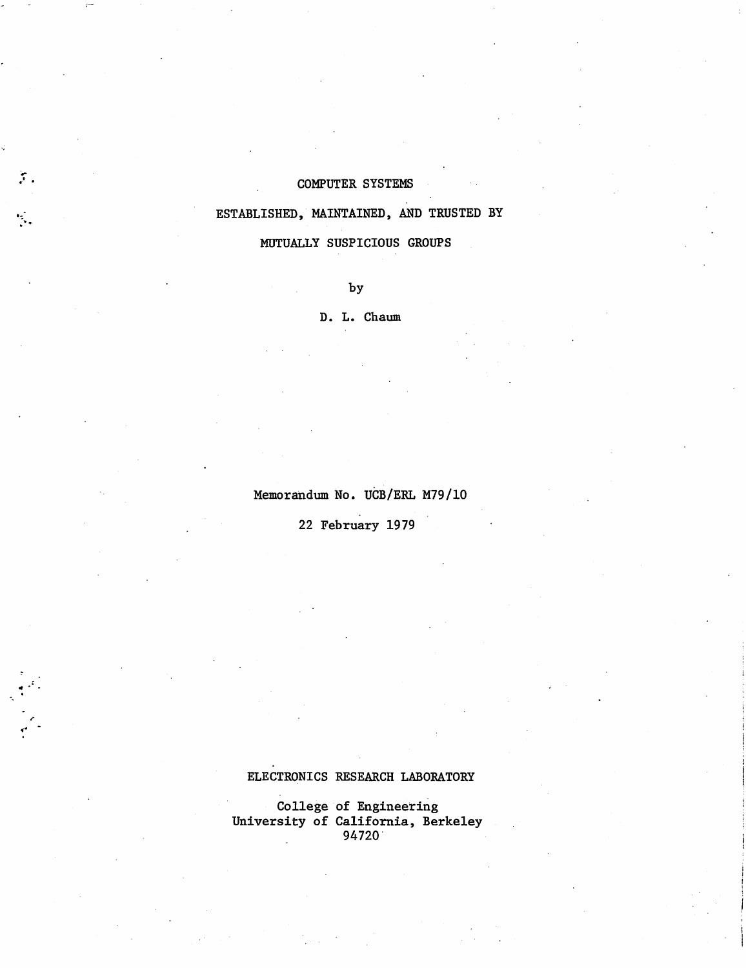# COMPUTER SYSTEMS

 $\mathfrak{z}_+$ 

0-- **:-.** 

 $\cdot$   $\cdot$ o.

 $\ddot{\phantom{0}}$ 

# ESTABLISHED, MAINTAINED, AND TRUSTED BY

MUTUALLY SUSPICIOUS GROUPS

by

D. L. Chaum

Memorandum No. UCB/ERL M79/10

22 February 1979

# ELECTRONICS RESEARCH LABORATORY

College of Engineering University of California, Berkeley 94720'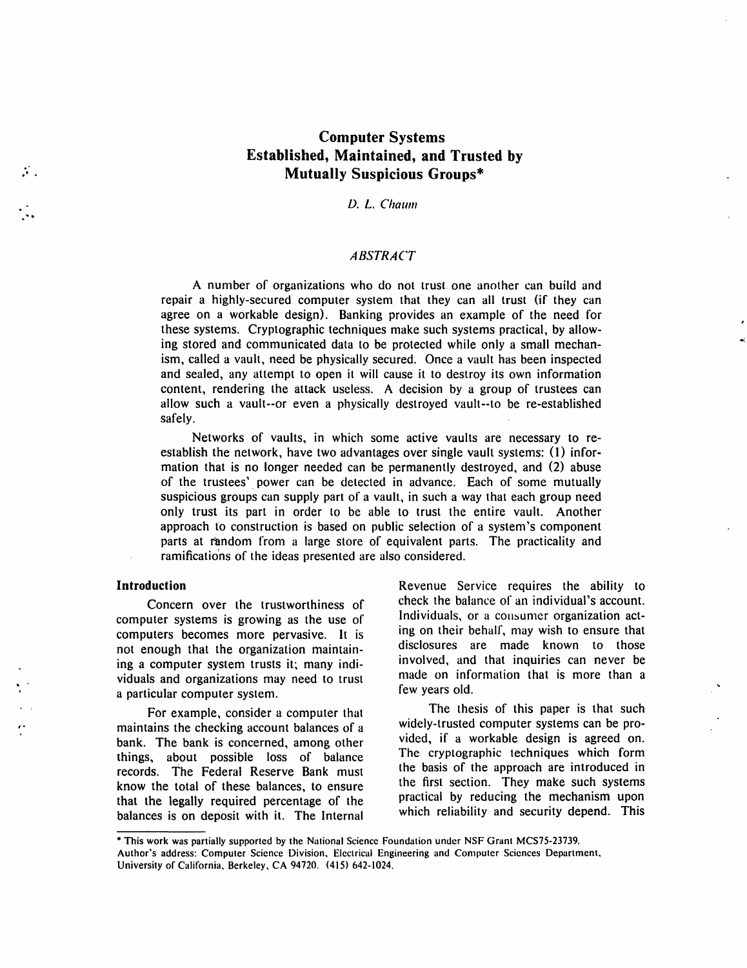# **Computer Systems Established, Maintained, and Trusted by Mutually Suspicious Groups\***

*D.* L. *Chaum* 

# *ABSTRACT*

A number of organizations who do not trust. one another can build and repair a highly-secured computer system that they can all trust (if they can agree on a workable design). Banking provides an example of the need for these systems. Cryptographic techniques make such systems practical, by allowing stored and communicated data to be protected while only a small mechanism, called a vault, need be physically secured. Once a vault has been inspected and sealed, any attempt to open it will cause it to destroy its own information content, rendering the attack useless. A decision by a group of trustees can allow such a vault--or even a physically destroyed vault--to be re-established safely.

Networks of vaults, in which some active vaults are necessary to reestablish the network, have two advantages over single vault systems: (1) information that is no longer needed can be permanently destroyed, and (2) abuse of the trustees'. power can be detected in advance. Each of some mutually suspicious groups can supply part of a vault, in such a way that each group need only trust its part in order to be able to trust the entire vault. Another approach to construction is based on public selection of a system's component parts at random from a large store of equivalent parts. The practicality and ramifications of the ideas presented are also considered.

## **Introduction**

t' •

 $\ddot{\cdot}$ 

. . .

Concern over the trustworthiness of computer systems is growing as the use of computers becomes more pervasive. It is not enough that the organization maintaining a computer system trusts it; many individuals and organizations may need to trust a particular computer system .

For example, consider a computer that maintains the checking account balances of a bank. The bank is concerned, among other things, about possible loss of balance records. The Federal Reserve Bank must know the total of these balances, to ensure that the legally required percentage of the balances is on deposit with it. The Internal Revenue Service requires the ability to check the balance of an individual's account. Individuals, or a consumer organization acting on their behalf, may wish to ensure that disclosures are made known to those involved, and that inquiries can never be made on information that is more than a few years old.

The thesis of this paper is that such widely-trusted computer systems can be provided, if a workable design is agreed on. The cryptographic techniques which form the basis of the approach are introduced in the first section. They make such systems practical by reducing the mechanism upon which reliability and security depend. This

<sup>•</sup> This work was partially supported by the National Science Foundation under NSF Grant MCS75-23739. Author's address: Computer Science Division, Electrical Engineering and Computer Sciences Department, University of California. Berkeley. CA 94720. (415) 642-1024.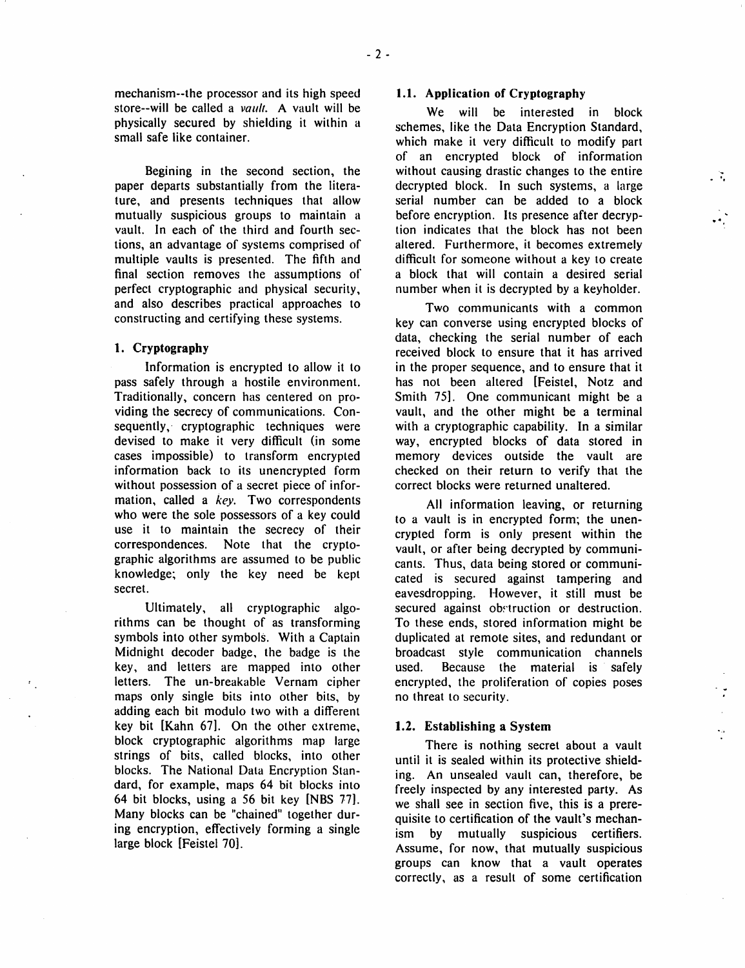mechanism--the processor and its high speed store--will be called a *vault*. A vault will be physically secured by shielding it within a small safe like container.

Begining in the second section, the paper departs substantially from the literature, and presents techniques that allow mutually suspicious groups to maintain a vault. In each of the third and fourth sections, an advantage of systems comprised of multiple vaults is presented. The fifth and final section removes the assumptions of perfect cryptographic and physical security, and also describes practical approaches to constructing and certifying these systems.

# 1. Cryptography

Information is encrypted to allow it to pass safely through a hostile environment. Traditionally, concern has centered on providing the secrecy of communications. Consequently, cryptographic techniques were devised to make it very difficult (in some cases impossible) to transform encrypted information back to its unencrypted form without possession of a secret piece of information, called a *key.* Two correspondents who were the sole possessors of a key could use it to maintain the secrecy of their correspondences. Note that the cryptographic algorithms are assumed to be public knowledge; only the key need be kept secret.

Ultimately, all cryptographic algorithms can be thought of as transforming symbols into other symbols. With a Captain Midnight decoder badge, the badge is the key, and letters are mapped into other letters. The un-breakable Vernam cipher maps only single bits into other bits, by adding each bit modulo two with a different key bit [Kahn 67]. On the other extreme, block cryptographic algorithms map large strings of bits, called blocks, into other blocks. The National Data Encryption Standard, for example, maps 64 bit blocks into 64 bit blocks, using a 56 bit key [NBS 171. Many blocks can be "chained" together during encryption, effectively forming a single large block [Feistel 70].

#### 1.1. Application of Cryptography

We will be interested in block schemes, like the Data Encryption Standard, which make it very difficult to modify part of an encrypted block of information without causing drastic changes to the entire decrypted block. In such systems, a large serial number can be added to a block before encryption. Its presence after decryption indicates that the block has not been altered. Furthermore, it becomes extremely difficult for someone without a key to create a block that will contain a desired serial number when it is decrypted by a keyholder.

~~ . "

..

Two communicants with a common key can converse using encrypted blocks of data, checking the serial number of each received block to ensure that it has arrived in the proper sequence, and to ensure that it has not been altered [Feistel, Notz and Smith 75]. One communicant might be a vault, and the other might be a terminal with a cryptographic capability. In a similar way, encrypted blocks of data stored in memory devices outside the vault are checked on their return to verify that the correct blocks were returned unaltered.

All information leaving, or returning to a vault is in encrypted form; the unencrypted form is only present within the vault, or after being decrypted by communicants. Thus, data being stored or communicated is secured against tampering and eavesdropping. However, it still must be secured against obstruction or destruction. To these ends, stored information might be duplicated at remote sites, and redundant or broadcast style communication channels used. Because the material is safely encrypted, the proliferation of copies poses no threat to security.

#### 1.2. Establishing a System

There is nothing secret about a vault until it is sealed within its protective shielding. An unsealed vault can, therefore, be freely inspected by any interested party. As we shall see in section five, this is a prerequisite to certification of the vault's mechanism by mutually suspicious certifiers. Assume, for now, that mutually suspicious groups can know that a vault operates correctly, as a result of some certification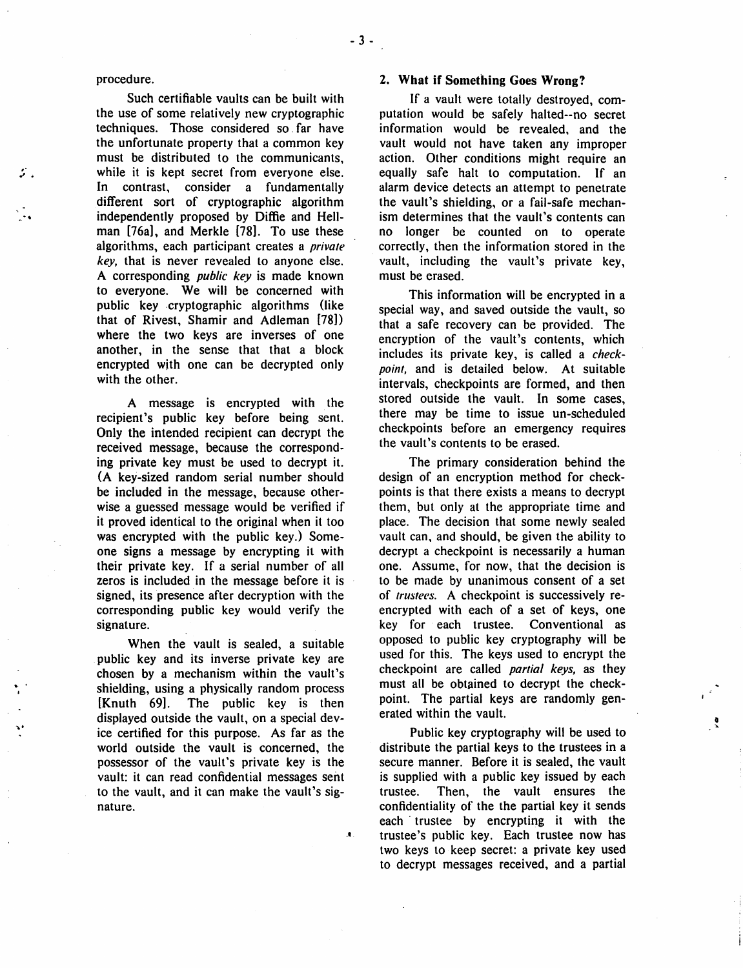#### procedure.

'.

. .

~.

Such certifiable vaults can be built with the use of some relatively new cryptographic techniques. Those considered so. far have the unfortunate property that a common key must be distributed to the communicants, while it is kept secret from everyone else. In contrast, consider a fundamentally different sort of cryptographic algorithm independently proposed by Diffie and Hellman [76a], and Merkle [78]. To use these algorithms, each participant creates a *private key,* that is never revealed to anyone else. A corresponding *public key* is made known to everyone. We will be concerned with public key .cryptographic algorithms (like that of Rivest, Shamir and Adleman [78]) where the two keys are inverses of one another, in the sense that that a block encrypted with one can be decrypted only with the other.

A message is encrypted with the recipient's public key before being sent. Only the intended recipient can decrypt the received message, because the corresponding private key must be used to decrypt it. (A key-sized random serial number should be included in the message, because otherwise a guessed message would be verified if it proved identical to the original when it too was encrypted with the public key.) Someone signs a message by encrypting it with their private key. If a serial number of all zeros is included in the message before it is signed, its presence after decryption with the corresponding public key would verify the signature.

When the vault is sealed, a suitable public key and its inverse private key are chosen by a mechanism within the vault's shielding, using a physically random process [Knuth 69]. The public key is then displayed outside the vault, on a special device certified for this purpose. As far as the world outside the vault is concerned, the possessor of the vault's private key is the vault: it can read confidential messages sent to the vault, and it can make the vault's signature.

.t

#### 2. What if Something Goes Wrong?

If a vault were totally destroyed, computation would be safely halted--no secret information would be revealed. and the vault would not have taken any improper action. Other conditions might require an equally safe halt to computation. If an alarm device detects an attempt to penetrate the vault's shielding, or a fail-safe mechanism determines that the vault's contents can no longer be counted on to operate correctly, then the information stored in the vault, including the vault's private key, must be erased.

This information will be encrypted in a special way, and saved outside the vault, so that a safe recovery can be provided. The encryption of the vault's contents, which includes its private key, is called a *checkpoint,* and is detailed below. At suitable intervals, checkpoints are formed, and then stored outside the vault. In some cases, there may be time to issue un-scheduled checkpoints before an emergency requires the vault's contents to be erased.

The primary consideration behind the design of an encryption method for checkpoints is that there exists a means to decrypt them, but only at the appropriate time and place. The decision that some newly sealed vault can, and should, be given the ability to decrypt a checkpoint is necessarily a human one. Assume, for now, that the decision is to be made by unanimous consent of a set of *trustees.* A checkpoint is successively reencrypted with each of a set of keys, one key for each trustee. Conventional as opposed to public key cryptography will be used for this. The keys used to encrypt the checkpoint are called *partial keys,* as they must all be obtained to decrypt the checkpoint. The partial keys are randomly generated within the vault.

Public key cryptography will be used to distribute the partial keys to the trustees in a secure manner. Before it is sealed, the vault is supplied with a public key issued by each trustee. Then, the vault ensures the confidentiality of the the partial key it sends each' trustee by encrypting it with the trustee's public key. Each trustee now has two keys to keep secret: a private key used to decrypt messages received, and a partial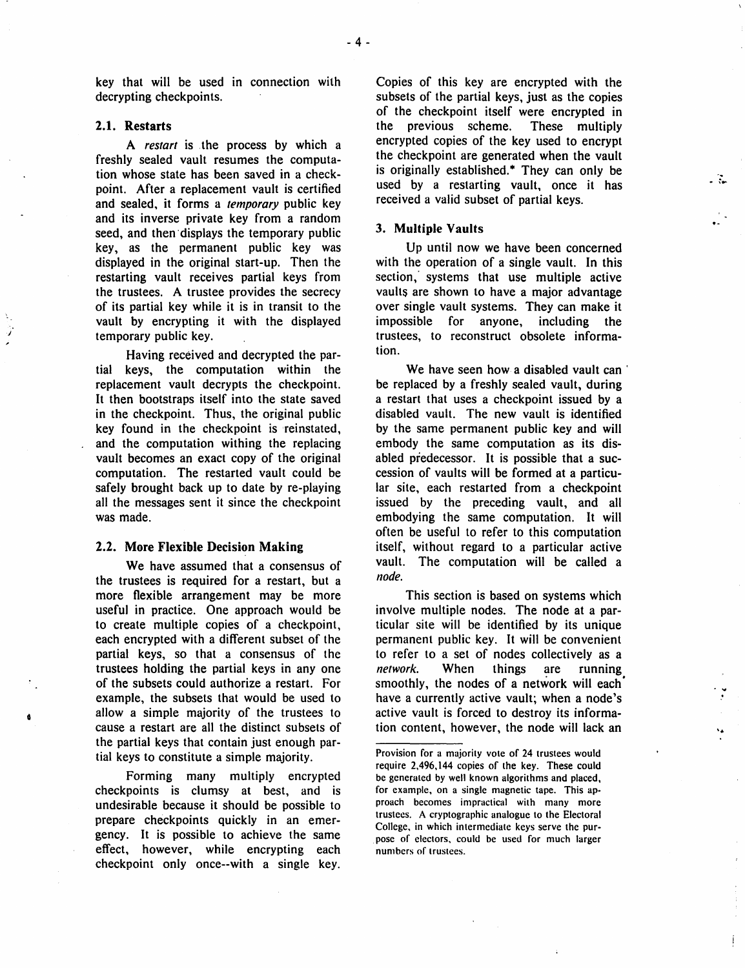key that will be used in connection with decrypting checkpoints.

## 2.1. Restarts

*j* 

A *restart* is . the process by which a freshly sealed vault resumes the computation whose state has been saved in a checkpoint. After a replacement vault is certified and sealed, it forms a *temporary* public key and its inverse private key from a random seed, and then displays the temporary public key, as the permanent public key was displayed in the original start-up. Then the restarting vault receives partial keys from the trustees. A trustee provides the secrecy of its partial key while it is in transit to the vault by encrypting it with the displayed temporary public key.

Having received and decrypted the partial keys, the computation within the replacement vault decrypts the checkpoint. It then bootstraps itself into the state saved in the checkpoint. Thus, the original public key found in the checkpoint is reinstated, and the computation withing the replacing vault becomes an exact copy of the original computation. The restarted vault could be safely brought back up to date by re-playing all the messages sent it since the checkpoint was made.

#### 2.2. More Flexible Decision Making

We have assumed that a consensus of the trustees is required for a restart, but a more flexible arrangement may be more useful in practice. One approach would be to create multiple copies of a checkpoint, each encrypted with a different subset of the partial keys, so that a consensus of the trustees holding the partial keys in anyone of the subsets could authorize a restart. For example, the subsets that would be used to allow a simple majority of the trustees to cause a restart are all the distinct subsets of the partial keys that contain just enough partial keys to constitute a simple majority.

Forming many multiply encrypted checkpoints is clumsy at best, and is undesirable because it should be possible to prepare checkpoints quickly in an emergency. It is possible to achieve the same effect, however, while encrypting each checkpoint only once--with a single key. Copies of this key are encrypted with the subsets of the partial keys, just as the copies of the checkpoint itself were encrypted in the previous scheme. These multiply encrypted copies of the key used to encrypt the checkpoint are generated when the vault is originally established.\* They can only be used by a restarting vault, once it has received a valid subset of partial keys.

. R

١ě

#### 3. Multiple Vaults

Up until now we have been concerned with the operation of a single vault. In this section,' systems that use multiple active vaults are shown to have a major advantage over single vault systems. They can make it impossible for anyone, including the trustees, to reconstruct obsolete information.

We have seen how a disabled vault can be replaced by a freshly sealed vault, during a restart that uses a checkpoint issued by a disabled vault. The new vault is identified by the same permanent public key and will embody the same computation as its disabled predecessor. It is possible that a succession of vaults will be formed at a particular site, each restarted from a checkpoint issued by the preceding vault, and all embodying the same computation. It will often be useful to refer to this computation itself, without regard to a particular active vault. The computation will be called a *node.* 

This section is based on systems which involve multiple nodes. The node at a particular site will be identified by its unique permanent public key. It will be convenient to refer to a set of nodes collectively as a *network.* When things are running smoothly, the nodes of a network will each' have a currently active vault; when a node's active vault is forced to destroy its information content, however, the node will lack an

Provision for a majority vote of 24 trustees would require 2.496.144 copies of the key. These could be generated by well known algorithms and placed, for example. on a single magnetic tape. This approach becomes impractical with many more trustees. A cryptographic analogue to the Electoral College, in which intermediate keys serve the pur- . pose of electors. could be used for much larger numbers of trustees.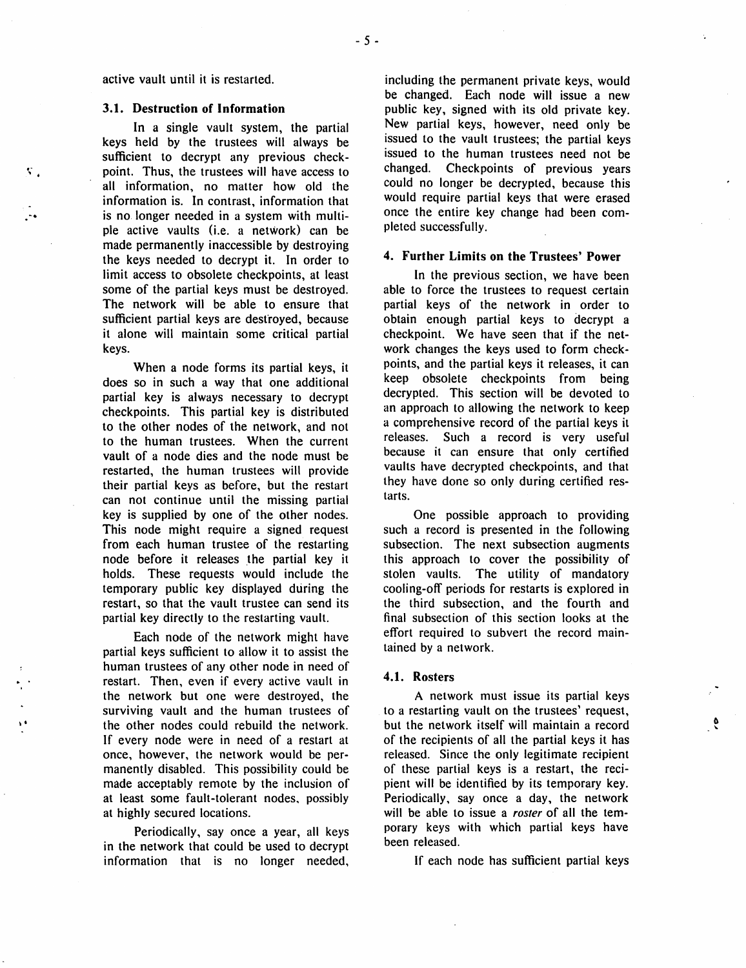active vault until it is restarted.

#### 3.1. Destruction of Information

...

Κ.

In a single vault system, the partial keys held by the trustees will always be sufficient to decrypt any previous checkpoint. Thus, the trustees will have access to all information, no matter how old the information is. In contrast, information that is no longer needed in a system with multiple active vaults (i.e. a netWork) can be made permanently inaccessible by destroying the keys needed to decrypt it. In order to limit access to obsolete checkpoints, at least some of the partial keys must be destroyed. The network will be able to ensure that sufficient partial keys are desfroyed, because it alone will maintain some critical partial keys.

When a node forms its partial keys, it does so in such a way that one additional partial key is always necessary to decrypt checkpoints. This partial key is distributed to the other nodes of the network, and not to the human trustees. When the current vault of a node dies and the node must be restarted, the human trustees will provide their partial keys as before, but the restart can not continue until the missing partial key is supplied by one of the other nodes. This node might require a signed request from each human trustee of the restarting node before it releases the partial key it holds. These requests would include the temporary public key displayed during the restart, so that the vault trustee can send its partial key directly to the restarting vault.

Each node of the network might have partial keys sufficient to allow it to assist the human trustees of any other node in need of restart. Then, even if every active vault in the network but one were destroyed, the surviving vault and the human trustees of the other nodes could rebuild the network. If every node were in need of a restart at once, however, the network would be permanently disabled. This possibility could be made acceptably remote by the inclusion of at least some fault-tolerant nodes, possibly at highly secured locations.

Periodically, say once a year, all keys in the network that could be used to decrypt information that is no longer needed,

including the permanent private keys, would be changed. Each node will issue a new public key, signed with its old private key. New partial keys, however, need only be issued to the vault trustees; the partial keys issued to the human trustees need not be changed. Checkpoints of previous years could no longer be decrypted, because this would require partial keys that were erased once the entire key change had been completed successfully.

## 4. Further Limits on the Trustees' Power

In the previous section, we have been able to force the trustees to request certain partial keys of the network in order to obtain enough partial keys to decrypt a checkpoint. We have seen that if the network changes the keys used to form checkpoints, and the partial keys it releases, it can keep obsolete checkpoints from being decrypted. This section will be devoted to an approach to allowing the network to keep a comprehensive record of the partial keys it releases. Such a record is very useful because it can ensure that only certified vaults have decrypted checkpoints, and that they have done so only during certified restarts.

One possible approach to providing such a record is presented in the following subsection. The next subsection augments this approach to cover the possibility of stolen vaults. The utility of mandatory cooling-off periods for restarts is explored in the third subsection, and the fourth and final subsection of this section looks at the effort required to subvert the record maintained by a network.

#### 4.1. Rosters

A network must issue its partial keys to a restarting vault on the trustees' request, but the network itself will maintain a record of the recipients of all the partial keys it has released. Since the only legitimate recipient of these partial keys is a restart, the recipient will be identified by its temporary key. Periodically, say once a day, the network will be able to issue a *roster* of all the temporary keys with which partial keys have been released.

If each node has sufficient partial keys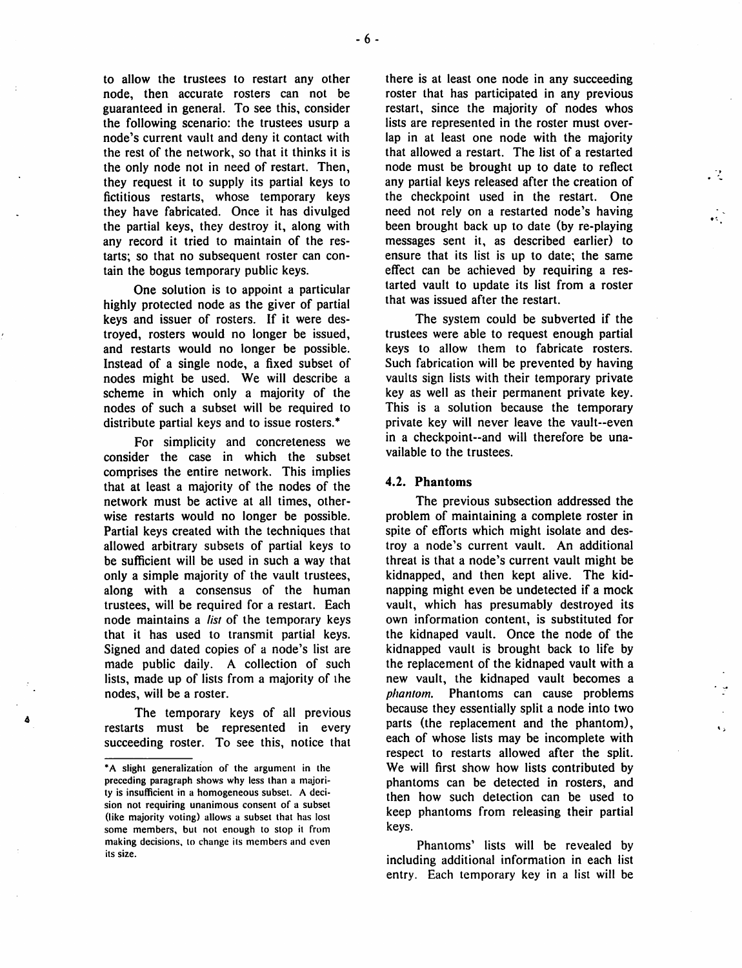to allow the trustees to restart any other node, then accurate rosters can not be guaranteed in general. To see this, consider the following scenario: the trustees usurp a node's current vault and deny it contact with the rest of the network, so that it thinks it is the only node not in need of restart. Then, they request it to supply its partial keys to fictitious restarts, whose temporary keys they have fabricated. Once it has divulged the partial keys, they destroy it, along with any record it tried to maintain of the restarts; so that no subsequent roster can contain the bogus temporary public keys.

One solution is to appoint a particular highly protected node as the giver of partial keys and issuer of rosters. If it were destroyed, rosters would no longer be issued, and restarts would no longer be possible. Instead of a single node, a fixed subset of nodes might be used. We will describe a scheme in which only a majority of the nodes of such a subset will be required to distribute partial keys and to issue rosters. \*

For simplicity and concreteness we consider the case in which the subset comprises the entire network. This implies that at least a majority of the nodes of the network must be active at all times, otherwise restarts would no longer be possible. Partial keys created with the techniques that allowed arbitrary subsets of partial keys to be sufficient will be used in such a way that only a simple majority of the vault trustees, along with a consensus of the human trustees, will be required for a restart. Each node maintains a *list* of the temporary keys that it has used to transmit partial keys. Signed and dated copies of a node's list are made public daily. A collection of such lists, made up of lists from a majority of the nodes, will be a roster.

The temporary keys of all previous restarts must be represented in every succeeding roster. To see this, notice that

4

there is at least one node in any succeeding roster that has participated in any previous restart, since the majority of nodes whos lists are represented in the roster must overlap in at least one node with the majority that allowed a restart. The list of a restarted node must be brought up to date to reflect any partial keys released after the creation of the checkpoint used in the restart. One need not rely on a restarted node's having been brought back up to date (by re-playing messages sent it, as described earlier) to ensure that its list is up to date; the same effect can be achieved by requiring a restarted vault to update its list from a roster that was issued after the restart.

-, . -

 $\ddot{\phantom{a}}$ 

The system could be subverted if the trustees were able to request enough partial keys to allow them to fabricate rosters. Such fabrication will be prevented by having vaults sign lists with their temporary private key as well as their permanent private key. This is a solution because the temporary private key will never leave the vault--even in a checkpoint--and will therefore be unavailable to the trustees.

#### 4.2. Phantoms

The previous subsection addressed the problem of maintaining a complete roster in spite of efforts which might isolate and destroy anode's current vault. An additional threat is that a node's current vault might be kidnapped, and then kept alive. The kidnapping might even be undetected if a mock vault, which has presumably destroyed its own information content, is substituted for the kidnaped vault. Once the node of the kidnapped vault is brought back to life by the replacement of the kidnaped vault with a new vault, the kidnaped vault becomes a *phantom.* Phantoms can cause problems because they essentially split a node into two parts (the replacement and the phantom), each of whose lists may be incomplete with respect to restarts allowed after the split. We will first show how lists contributed by phantoms can be detected in rosters, and then how such detection can be used to keep phantoms from releasing their partial keys.

Phantoms' lists will be revealed by including additional information in each list entry. Each temporary key in a list will be

<sup>\*</sup>A slight generalization of the argument in the preceding paragraph shows why less than a majority is insufficient in a homogeneous subset. A decision not requiring unanimous consent of a subset (like majority voting) allows a subset that has lost some members, but not enough to stop it from making decisions, to change its members and even its size.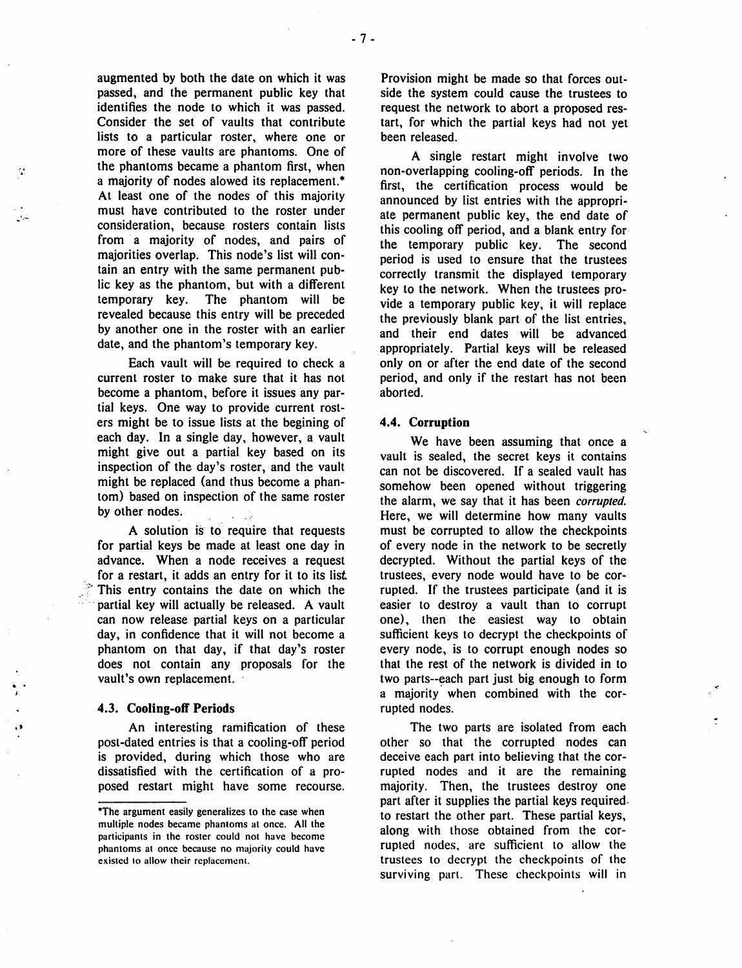augmented by both the date on which it was passed, and the permanent public key that identifies the node to which it was passed. Consider the set of vaults that contribute lists to a particular roster, where one or more of these vaults are phantoms. One of the phantoms became a phantom first, when a majority of nodes alowed its replacement.<sup>\*</sup> At least one of the nodes of this majority must have contributed to the roster under consideration, because rosters contain lists from a majority of nodes, and pairs of majorities overlap. This node's list will contain an entry with the same permanent public key as the phantom, but with a different temporary key. The phantom will be revealed because this entry will be preceded by another one in the roster with an earlier date, and the phantom's temporary key.

*t-* .

> Each vault will be required to check a current roster to make sure that it has not become a phantom, before it issues any partial keys. One way to provide current rosters might be to issue lists at the begining of each day. In a single day, however, a vault might give out a partial key based on its inspection of the day's roster, and the vault might be replaced (and thus become a phantom) based on inspection of the same roster by other nodes.

> A solution is to require that requests for partial keys be made at least one day in advance. When a node receives a request for a restart, it adds an entry for it to its list This entry contains the date on which the partial key will actually be released. A vault can now release partial keys on a particular day, in confidence that it will not become a phantom on that day, if that day's roster does not contain any proposals for the vault's own replacement.

#### 4.3. Cooling-off Periods

An interesting ramification of these post-dated entries is that a cooling-otT period is provided, during which those who are dissatisfied with the certification of a proposed restart might have some recourse. Provision might be made so that forces outside the system could cause the trustees to request the network to abort a proposed restart, for which the partial keys had not yet been released.

A single restart might involve two non-overlapping cooling-off periods. In the first, the certification process would be announced by list entries with the appropriate permanent public key, the end date of this cooling off period, and a blank entry for· the temporary public key. The second period is used to ensure that the trustees correctly transmit the displayed temporary key to the network. When the trustees provide a temporary public key, it will replace the previously blank part of the list entries, and their end dates will be advanced appropriately. Partial keys will be released only on or after the end date of the second period, and only if the restart has not been aborted.

#### 4.4. Corruption

We have been assuming that once a vault is sealed, the secret keys it contains can not be discovered. If a sealed vault has somehow been opened without triggering the alarm, we say that it has been corrupted. Here, we will determine how many vaults must be corrupted to allow the checkpoints of every node in the network to be secretly decrypted. Without the partial keys of the trustees, every node would have to be corrupted. If the trustees participate (and it is easier to destroy a vault than to corrupt one), then the easiest way to obtain sufficient keys to decrypt the checkpoints of every node, is to corrupt enough nodes so that the rest of the network is divided in to two parts--each part just big enough to form a majority when combined with the corrupted nodes.

The two parts are isolated from each other so that the corrupted nodes can deceive each part into believing that the corrupted nodes and it are the remaining majority. Then, the trustees destroy one part after it supplies the partial keys required. to restart the other part. These partial keys, along with those obtained from the corrupted nodes, are sufficient to allow the trustees to decrypt the checkpoints of the surviving part. These checkpoints will in

<sup>·</sup>The argument easily generalizes to the case when multiple nodes became phantoms at once. All the participants in the roster could not have become phantoms at once because no majority could have existed to allow their replacement.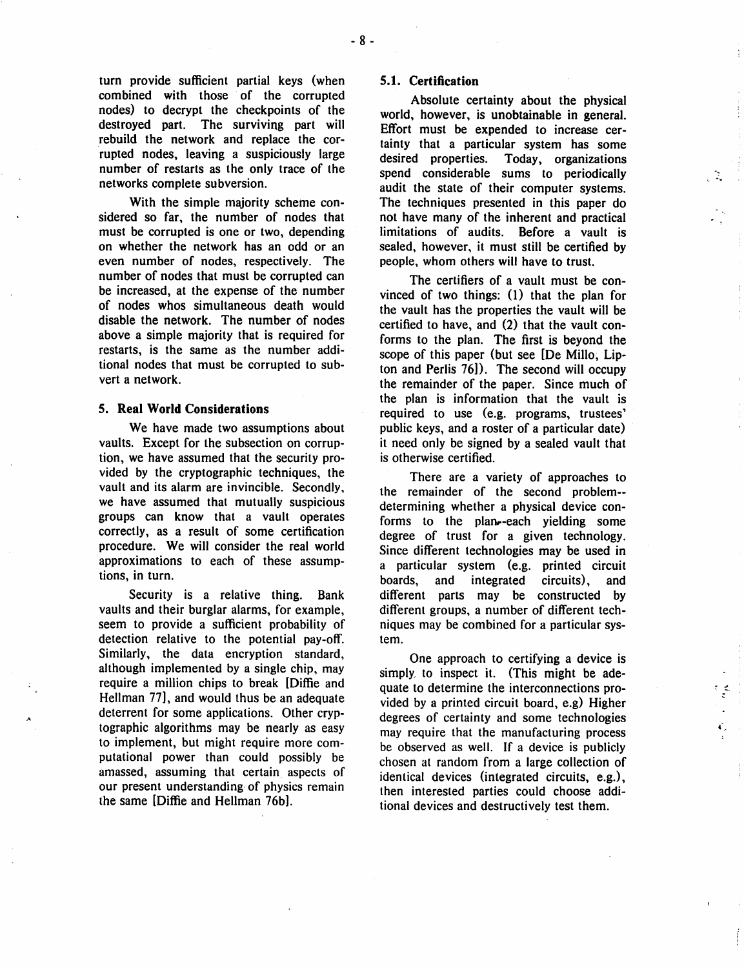nodes) to decrypt the checkpoints of the destroyed part. The surviving part will rebuild the network and replace the cor- 'rupted nodes, leaving a suspiciously large number of restarts as the only trace of the networks complete subversion.

With the simple majority scheme considered so far, the number of nodes that must be corrupted is one or two, depending on whether the network has an odd or an even number of nodes, respectively. The number of nodes that must be corrupted can be increased, at the expense of the number of nodes whos simultaneous death would disable the network. The number of nodes above a simple majority that is required for restarts, is the same as the number additional nodes that must be corrupted to subvert a network.

#### 5. Real World Considerations

We have made two assumptions about vaults. Except for the subsection on corruption, we have assumed that the security provided by the cryptographic techniques, the vault and its alarm are invincible. Secondly, we have assumed that mutually suspicious groups can know that a vault operates correctly, as a result of some certification procedure. We will consider the real world approximations to each of these assumptions, in turn.

Security is a relative thing. Bank vaults and their burglar alarms, for example, seem to provide a sufficient probability of detection relative to the potential pay-off. Similarly, the data encryption standard, although implemented by a single chip, may require a million chips to break [Diffie and Hellman 77], and would thus be an adequate deterrent for some applications. Other cryptographic algorithms may be nearly as easy to implement, but might require more computational power than could possibly be amassed, assuming that certain. aspects of our present understanding· of physics remain the same [Diffie and Hellman 76b).

## 5.1. Certification

Absolute certainty about the physical world, however, is unobtainable in general. Effort must be expended to increase certainty that a particular system' has some desired properties. Today, organizations spend considerable sums to periodically audit the state of their computer systems. The techniques presented in this paper do not have many of the inherent and practical limitations of audits. Before a vault is sealed, however, it must still be certified by people, whom others will have to trust.

-~ . .. .•

The certifiers of a vault must be convinced of two things: (I) that the plan for the vault has the properties the vault will be certified to have, and (2) that the vault conforms to the plan. The first is beyond the scope of this paper (but see [De Millo, Lipton and Perlis  $76$ ). The second will occupy the remainder of the paper. Since much of the plan is information that the vault is required to use (e.g. programs, trustees' public keys, and a roster of a particular date) it need only be signed by a sealed vault that is otherwise certified.

There are a variety of approaches to the remainder of the second problem- determining whether a physical device conforms to the plan-each vielding some degree of trust for a given technology. Since different technologies may be used in a particular system (e.g. printed circuit boards, and integrated circuits), and different parts may be constructed by different groups, a number of different techniques may be combined for a particular system.

One approach to certifying a device is simply, to inspect it. (This might be adequate to determine the interconnections provided by a printed circuit board, e.g) Higher degrees of certainty and some technologies may require that the manufacturing process be observed as well. If a device is publicly chosen at random from a large collection of identical devices (integrated circuits, e.g.), then interested parties could choose additional devices and destructively test them.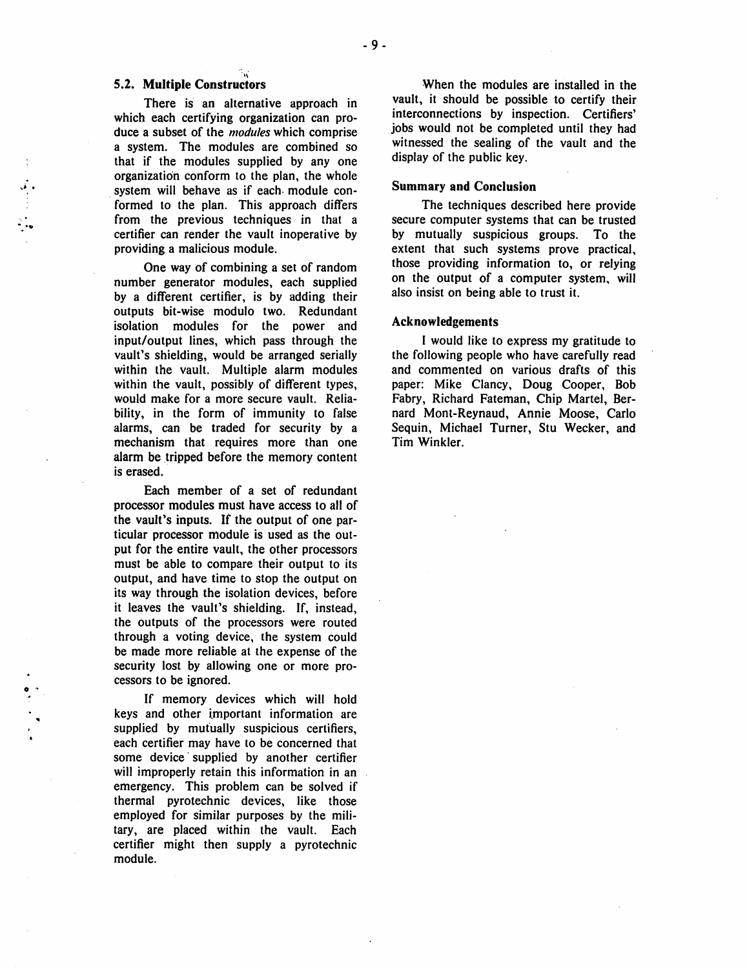# 5.2. Multiple Constructors

 $\ddot{\cdot}$ 

o '

There is an alternative approach in which each certifying organization can produce a subset of the *modules* which comprise a system. The modules are combined so that if the modules supplied by any one organization conform to the plan, the whole system will behave as if each module conformed to the plan. This approach differs from the previous techniques in that a certifier can render the vault inoperative by providing a malicious module.

One way of combining a set of random number generator modules, each supplied by a different certifier, is by adding their outputs bit-wise modulo two. Redundant isolation modules for the power and input/output lines, which pass through the vault's shielding, would be arranged serially within the vault. Multiple alarm modules within the vault, possibly of different types, would make for a more secure vault. Reliability, in the form of immunity to false alarms, can be traded for security by a mechanism that requires more than one alarm be tripped before the memory content is erased.

Each member of a set of redundant processor modules must have access to all of the vault's inputs. If the output of one particular processor module' is used as the output for the entire vault, the other processors must be able to compare their output to its output, and have time to stop the output on its way through the isolation devices, before it leaves the vault's shielding. If, instead, the outputs of the processors were routed through a voting device, the system could be made more reliable at the expense of the security lost by allowing one or more processors to be ignored.

If memory devices which will hold keys and other important information are supplied by mutually suspicious certifiers, each certifier may have to be concerned that some device' supplied by another certifier will improperly retain this information in an emergency. This problem can be solved if thermal pyrotechnic devices, like those employed for similar purposes by the military, are placed within the vault. Each certifier might then supply a pyrotechnic module.

When the modules are installed in the vault, it should be possible to certify their interconnections by inspection. Certifiers' jobs would not be completed until they had witnessed the sealing of the vault and the display of the public key.

#### Summary and Conclusion

The techniques described here provide secure computer systems that can be trusted by mutually suspicious groups. To the extent that such systems prove practical, those providing information to, or relying on the output of a computer system, will also insist on being able to trust it.

#### Acknowledgements

I would like to express my gratitude to the following people who have carefully read and commented on various drafts of this paper: Mike Clancy, Doug Cooper, Bob Fabry, Richard Fateman, Chip Martel, Bernard Mont-Reynaud, Annie Moose, Carlo Sequin, Michael Turner, Stu Wecker, and Tim Winkler.